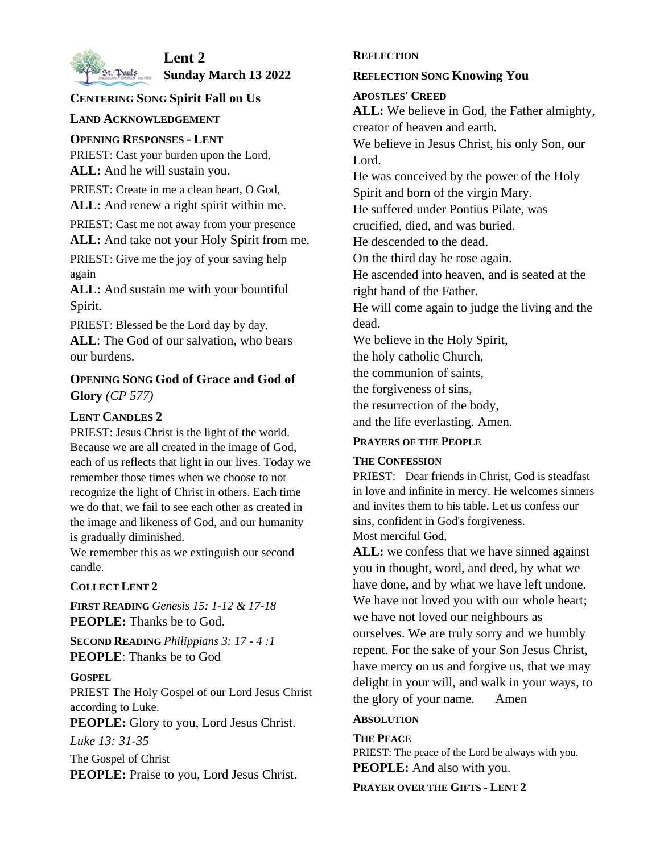

# **Lent 2**

**St. Paul's Sunday March 13 2022** 

# **CENTERING SONG Spirit Fall on Us**

# **LAND ACKNOWLEDGEMENT**

#### **OPENING RESPONSES - LENT**

PRIEST: Cast your burden upon the Lord, **ALL:** And he will sustain you.

PRIEST: Create in me a clean heart, O God, **ALL:** And renew a right spirit within me.

PRIEST: Cast me not away from your presence **ALL:** And take not your Holy Spirit from me.

PRIEST: Give me the joy of your saving help again

**ALL:** And sustain me with your bountiful Spirit.

PRIEST: Blessed be the Lord day by day, **ALL**: The God of our salvation, who bears our burdens.

# **OPENING SONG God of Grace and God of Glory** *(CP 577)*

# **LENT CANDLES 2**

PRIEST: Jesus Christ is the light of the world. Because we are all created in the image of God, each of us reflects that light in our lives. Today we remember those times when we choose to not recognize the light of Christ in others. Each time we do that, we fail to see each other as created in the image and likeness of God, and our humanity is gradually diminished.

We remember this as we extinguish our second candle.

#### **COLLECT LENT 2**

**FIRST READING** *Genesis 15: 1-12 & 17-18* **PEOPLE:** Thanks be to God.

**SECOND READING** *Philippians 3: 17 - 4 :1* **PEOPLE**: Thanks be to God

#### **GOSPEL**

PRIEST The Holy Gospel of our Lord Jesus Christ according to Luke.

**PEOPLE:** Glory to you, Lord Jesus Christ.

*Luke 13: 31-35*

The Gospel of Christ **PEOPLE:** Praise to you, Lord Jesus Christ.

#### **REFLECTION**

#### **REFLECTION SONG Knowing You**

#### **APOSTLES' CREED**

**ALL:** We believe in God, the Father almighty, creator of heaven and earth.

We believe in Jesus Christ, his only Son, our Lord.

He was conceived by the power of the Holy Spirit and born of the virgin Mary.

He suffered under Pontius Pilate, was

crucified, died, and was buried.

He descended to the dead.

On the third day he rose again.

He ascended into heaven, and is seated at the right hand of the Father.

He will come again to judge the living and the

dead.

We believe in the Holy Spirit,

the holy catholic Church,

the communion of saints,

the forgiveness of sins,

the resurrection of the body,

and the life everlasting. Amen.

#### **PRAYERS OF THE PEOPLE**

#### **THE CONFESSION**

PRIEST: Dear friends in Christ, God is steadfast in love and infinite in mercy. He welcomes sinners and invites them to his table. Let us confess our sins, confident in God's forgiveness. Most merciful God,

ALL: we confess that we have sinned against you in thought, word, and deed, by what we have done, and by what we have left undone. We have not loved you with our whole heart; we have not loved our neighbours as ourselves. We are truly sorry and we humbly repent. For the sake of your Son Jesus Christ, have mercy on us and forgive us, that we may delight in your will, and walk in your ways, to the glory of your name. Amen

#### **ABSOLUTION**

**THE PEACE** PRIEST: The peace of the Lord be always with you. **PEOPLE:** And also with you.

#### **PRAYER OVER THE GIFTS - LENT 2**